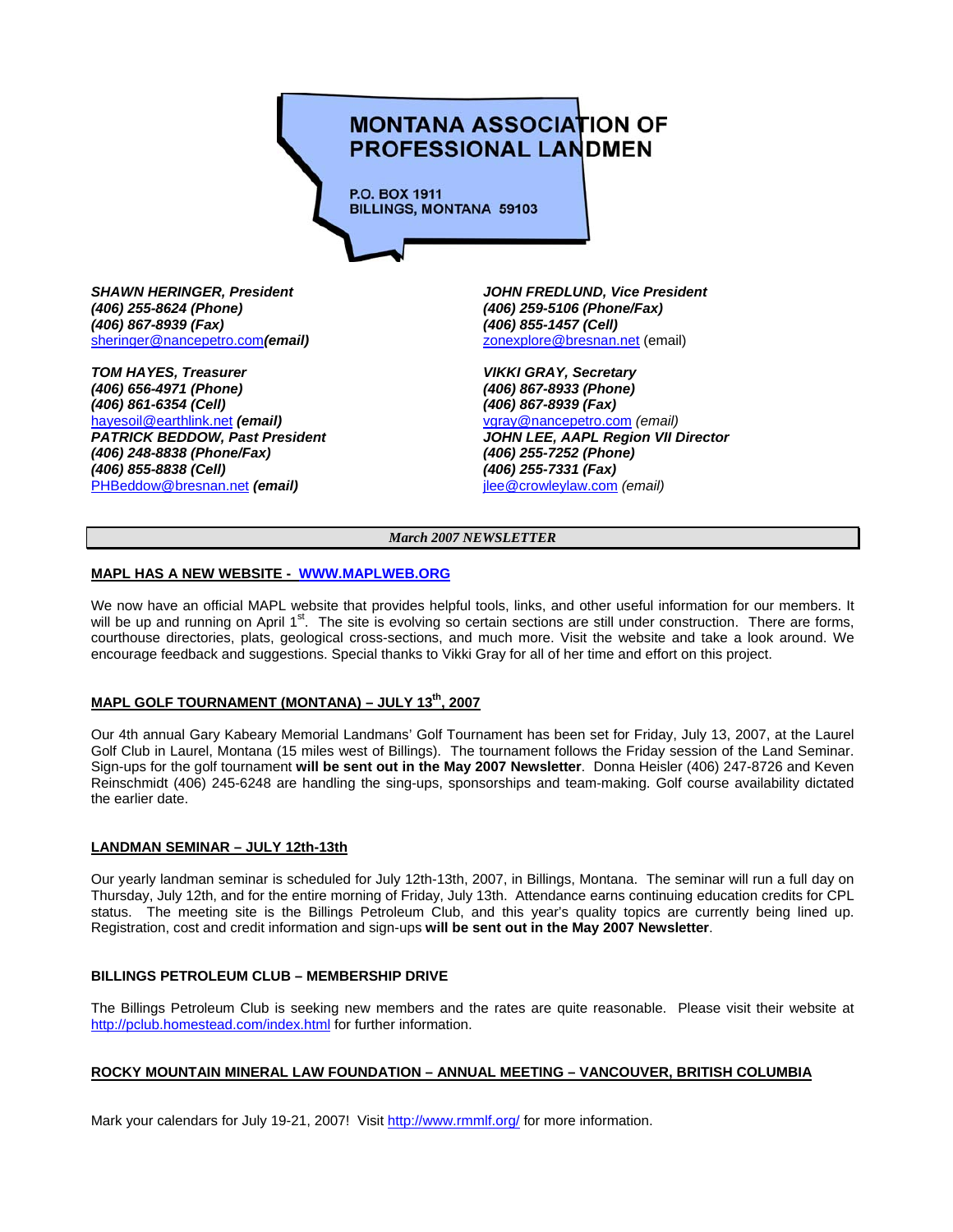# **MONTANA ASSOCIATION OF PROFESSIONAL LANDMEN**

**P.O. BOX 1911 BILLINGS, MONTANA 59103** 

*(406) 255-8624 (Phone) (406) 259-5106 (Phone/Fax) (406) 867-8939 (Fax) (406) 855-1457 (Cell)*  sheringer@nancepetro.com*(email)* zonexplore@bresnan.net (email)

**TOM HAYES, Treasurer Community Community Community Community Community Community Community Community Community** *(406) 656-4971 (Phone) (406) 867-8933 (Phone) (406) 861-6354 (Cell) (406) 867-8939 (Fax)*  hayesoil@earthlink.net *(email)* vgray@nancepetro.com *(email) (406) 248-8838 (Phone/Fax) (406) 855-8838 (Cell) (406) 255-7331 (Fax)*  PHBeddow@bresnan.net *(email)* jlee@crowleylaw.com *(email)* 

*SHAWN HERINGER, President JOHN FREDLUND, Vice President* 

JOHN LEE, AAPL Region VII Director<br>(406) 255-7252 (Phone)

*March 2007 NEWSLETTER*

## **MAPL HAS A NEW WEBSITE - WWW.MAPLWEB.ORG**

We now have an official MAPL website that provides helpful tools, links, and other useful information for our members. It will be up and running on April  $1<sup>st</sup>$ . The site is evolving so certain sections are still under construction. There are forms, courthouse directories, plats, geological cross-sections, and much more. Visit the website and take a look around. We encourage feedback and suggestions. Special thanks to Vikki Gray for all of her time and effort on this project.

# **MAPL GOLF TOURNAMENT (MONTANA) – JULY 13th, 2007**

Our 4th annual Gary Kabeary Memorial Landmans' Golf Tournament has been set for Friday, July 13, 2007, at the Laurel Golf Club in Laurel, Montana (15 miles west of Billings). The tournament follows the Friday session of the Land Seminar. Sign-ups for the golf tournament **will be sent out in the May 2007 Newsletter**. Donna Heisler (406) 247-8726 and Keven Reinschmidt (406) 245-6248 are handling the sing-ups, sponsorships and team-making. Golf course availability dictated the earlier date.

### **LANDMAN SEMINAR – JULY 12th-13th**

Our yearly landman seminar is scheduled for July 12th-13th, 2007, in Billings, Montana. The seminar will run a full day on Thursday, July 12th, and for the entire morning of Friday, July 13th. Attendance earns continuing education credits for CPL status. The meeting site is the Billings Petroleum Club, and this year's quality topics are currently being lined up. Registration, cost and credit information and sign-ups **will be sent out in the May 2007 Newsletter**.

### **BILLINGS PETROLEUM CLUB – MEMBERSHIP DRIVE**

The Billings Petroleum Club is seeking new members and the rates are quite reasonable. Please visit their website at http://pclub.homestead.com/index.html for further information.

## **ROCKY MOUNTAIN MINERAL LAW FOUNDATION – ANNUAL MEETING – VANCOUVER, BRITISH COLUMBIA**

Mark your calendars for July 19-21, 2007! Visit http://www.rmmlf.org/ for more information.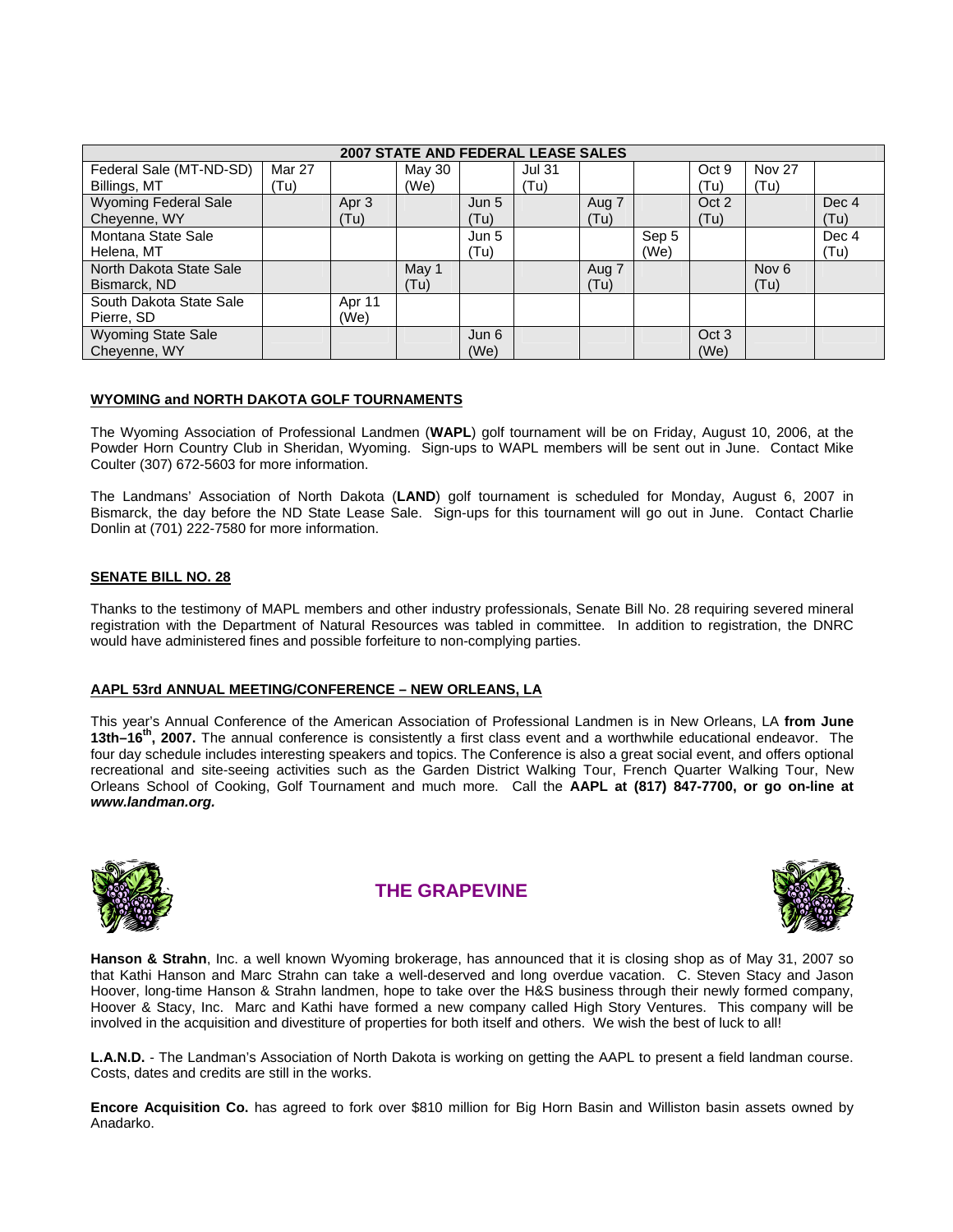| 2007 STATE AND FEDERAL LEASE SALES |        |                   |        |       |               |       |       |                   |                  |       |
|------------------------------------|--------|-------------------|--------|-------|---------------|-------|-------|-------------------|------------------|-------|
| Federal Sale (MT-ND-SD)            | Mar 27 |                   | May 30 |       | <b>Jul 31</b> |       |       | Oct 9             | <b>Nov 27</b>    |       |
| Billings, MT                       | (Tu)   |                   | (We)   |       | (Tu)          |       |       | (Tu)              | (Tu)             |       |
| <b>Wyoming Federal Sale</b>        |        | Apr 3             |        | Jun 5 |               | Aug 7 |       | Oct 2             |                  | Dec 4 |
| Cheyenne, WY                       |        | (T <sub>u</sub> ) |        | (Tu)  |               | (Tu)  |       | (T <sub>u</sub> ) |                  | (Tu)  |
| Montana State Sale                 |        |                   |        | Jun 5 |               |       | Sep 5 |                   |                  | Dec 4 |
| Helena, MT                         |        |                   |        | (Tu)  |               |       | (We)  |                   |                  | (Tu)  |
| North Dakota State Sale            |        |                   | May 1  |       |               | Aug 7 |       |                   | Nov <sub>6</sub> |       |
| Bismarck, ND                       |        |                   | (Tu)   |       |               | (Tu)  |       |                   | (Tu)             |       |
| South Dakota State Sale            |        | Apr 11            |        |       |               |       |       |                   |                  |       |
| Pierre, SD                         |        | (We)              |        |       |               |       |       |                   |                  |       |
| <b>Wyoming State Sale</b>          |        |                   |        | Jun 6 |               |       |       | Oct <sub>3</sub>  |                  |       |
| Chevenne, WY                       |        |                   |        | (We)  |               |       |       | (We)              |                  |       |

## **WYOMING and NORTH DAKOTA GOLF TOURNAMENTS**

The Wyoming Association of Professional Landmen (**WAPL**) golf tournament will be on Friday, August 10, 2006, at the Powder Horn Country Club in Sheridan, Wyoming. Sign-ups to WAPL members will be sent out in June. Contact Mike Coulter (307) 672-5603 for more information.

The Landmans' Association of North Dakota (**LAND**) golf tournament is scheduled for Monday, August 6, 2007 in Bismarck, the day before the ND State Lease Sale. Sign-ups for this tournament will go out in June. Contact Charlie Donlin at (701) 222-7580 for more information.

## **SENATE BILL NO. 28**

Thanks to the testimony of MAPL members and other industry professionals, Senate Bill No. 28 requiring severed mineral registration with the Department of Natural Resources was tabled in committee. In addition to registration, the DNRC would have administered fines and possible forfeiture to non-complying parties.

### **AAPL 53rd ANNUAL MEETING/CONFERENCE – NEW ORLEANS, LA**

This year's Annual Conference of the American Association of Professional Landmen is in New Orleans, LA **from June 13th–16th, 2007.** The annual conference is consistently a first class event and a worthwhile educational endeavor. The four day schedule includes interesting speakers and topics. The Conference is also a great social event, and offers optional recreational and site-seeing activities such as the Garden District Walking Tour, French Quarter Walking Tour, New Orleans School of Cooking, Golf Tournament and much more. Call the **AAPL at (817) 847-7700, or go on-line at**  *www.landman.org.*



## **THE GRAPEVINE**



**Hanson & Strahn**, Inc. a well known Wyoming brokerage, has announced that it is closing shop as of May 31, 2007 so that Kathi Hanson and Marc Strahn can take a well-deserved and long overdue vacation. C. Steven Stacy and Jason Hoover, long-time Hanson & Strahn landmen, hope to take over the H&S business through their newly formed company, Hoover & Stacy, Inc. Marc and Kathi have formed a new company called High Story Ventures. This company will be involved in the acquisition and divestiture of properties for both itself and others. We wish the best of luck to all!

**L.A.N.D.** - The Landman's Association of North Dakota is working on getting the AAPL to present a field landman course. Costs, dates and credits are still in the works.

**Encore Acquisition Co.** has agreed to fork over \$810 million for Big Horn Basin and Williston basin assets owned by Anadarko.